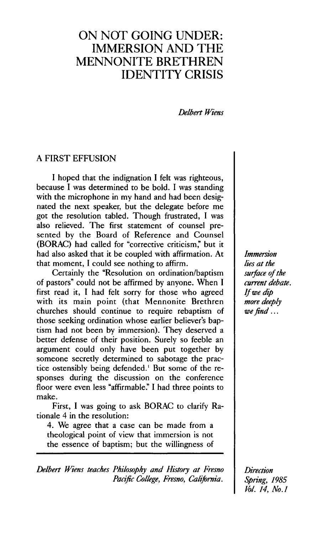# ON NOT GOING UNDER: IMMERSION AND THE MENNONITE BRETHREN IDENTITY CRISIS

*Delbert Wiens* 

## A FIRST EFFUSION

I hoped that the indignation I felt was righteous, because I was determined to be bold. I was standing with the microphone in my hand and had been designated the next speaker, but the delegate before me got the resolution tabled. Though frustrated, I was also relieved. The first statement of counsel presented by the Board of Reference and Counsel (BORAC) had called for "corrective criticism," but it had also asked that it be coupled with affirmation. At that moment, I could see nothing to affirm.

Certainly the "Resolution on ordination/baptism of pastors" could not be affirmed by anyone. When I first read it, I had felt sorry for those who agreed with its main point (that Mennonite Brethren churches should continue to require rebaptism of those seeking ordination whose earlier believer's baptism had not been by immersion). They deserved a better defense of their position. Surely so feeble an argument could only have been put together by someone secretly determined to sabotage the practice ostensibly being defended.<sup>1</sup> But some of the responses during the discussion on the conference floor were even less "affirmable." I had three points to make.

First, I was going to ask BORAC to clarify Rationale 4 in the resolution:

4. We agree that a case can be made from a theological point of view that immersion is not the essence of baptism; but the willingness of

*Delbert Wiensteaches Philosophy and History at Fresno Pacific College, Fresno, California.* 

*Immersion lies at the surface of the current debate. If we dip more deeply we find...* 

*Direction Spring, 1985 Vol. 14, No.l*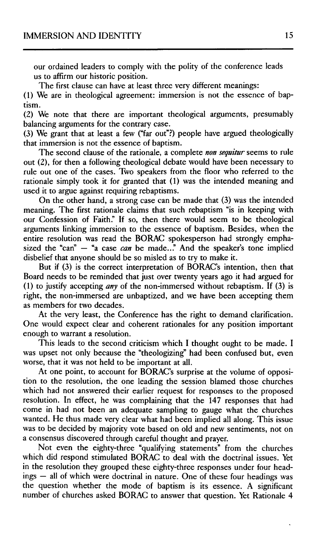our ordained leaders to comply with the polity of the conference leads us to affirm our historic position.

The first clause can have at least three very different meanings:

(1) We are in theological agreement: immersion is not the essence of baptism.

(2) We note that there are important theological arguments, presumably balancing arguments for the contrary case.

(3) We grant that at least a few ("far out"?) people have argued theologically that immersion is not the essence of baptism.

The second clause of the rationale, a complete *non sequitur* seems to rule out (2), for then a following theological debate would have been necessary to rule out one of the cases. Two speakers from the floor who referred to the rationale simply took it for granted that (1) was the intended meaning and used it to argue against requiring rebaptisms.

On the other hand, a strong case can be made that (3) was the intended meaning. The first rationale claims that such rebaptism "is in keeping with our Confession of Faith." If so, then there would seem to be theological arguments linking immersion to the essence of baptism. Besides, when the entire resolution was read the BORAC spokesperson had strongly emphasized the "can"  $-$  "a case *can* be made..." And the speaker's tone implied disbelief that anyone should be so misled as to try to make it.

But if (3) is the correct interpretation of BORAC's intention, then that Board needs to be reminded that just over twenty years ago it had argued for (1) to justify accepting *any* of the non-immersed without rebaptism. If (3) is right, the non-immersed are unbaptized, and we have been accepting them as members for two decades.

At the very least, the Conference has the right to demand clarification. One would expect clear and coherent rationales for any position important enough to warrant a resolution.

This leads to the second criticism which I thought ought to be made. I was upset not only because the "theologizing" had been confused but, even worse, that it was not held to be important at all.

At one point, to account for BORAC's surprise at the volume of opposition to the resolution, the one leading the session blamed those churches which had not answered their earlier request for responses to the proposed resolution. In effect, he was complaining that the 147 responses that had come in had not been an adequate sampling to gauge what the churches wanted. He thus made very clear what had been implied all along. This issue was to be decided by majority vote based on old and new sentiments, not on a consensus discovered through careful thought and prayer.

Not even the eighty-three "qualifying statements" from the churches which did respond stimulated BORAC to deal with the doctrinal issues. Yet in the resolution they grouped these eighty-three responses under four headings — all of which were doctrinal in nature. One of these four headings was the question whether the mode of baptism is its essence. A significant number of churches asked BORAC to answer that question. Yet Rationale 4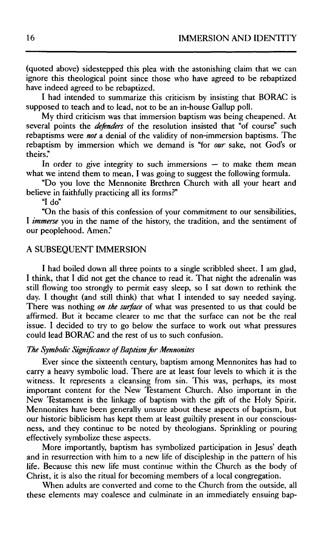(quoted above) sidestepped this plea with the astonishing claim that we can ignore this theological point since those who have agreed to be rebaptized have indeed agreed to be rebaptized.

I had intended to summarize this criticism by insisting that BORAC is supposed to teach and to lead, not to be an in-house Gallup poll.

My third criticism was that immersion baptism was being cheapened. At several points the *defenders* of the resolution insisted that "of course" such rebaptisms were *not* a denial of the validity of non-immersion baptisms. The rebaptism by immersion which we demand is "for *our* sake, not God's or theirs."

In order to give integrity to such immersions  $-$  to make them mean what we intend them to mean, I was going to suggest the following formula.

"Do you love the Mennonite Brethren Church with all your heart and believe in faithfully practicing all its forms?"

"Ido"

"On the basis of this confession of your commitment to our sensibilities, I *immerse* you in the name of the history, the tradition, and the sentiment of our peoplehood. Amen."

## A SUBSEQUENT IMMERSION

I had boiled down all three points to a single scribbled sheet. I am glad, I think, that I did not get the chance to read it. That night the adrenalin was still flowing too strongly to permit easy sleep, so I sat down to rethink the day. I thought (and still think) that what I intended to say needed saying. There was nothing *on the surface* of what was presented to us that could be affirmed. But it became clearer to me that the surface can not be the real issue. I decided to try to go below the surface to work out what pressures could lead BORAC and the rest of us to such confusion.

#### *The Symbolic Significance of Baptism for Mennonites*

Ever since the sixteenth century, baptism among Mennonites has had to carry a heavy symbolic load. There are at least four levels to which it is the witness. It represents a cleansing from sin. This was, perhaps, its most important content for the New Testament Church. Also important in the New Testament is the linkage of baptism with the gift of the Holy Spirit. Mennonites have been generally unsure about these aspects of baptism, but our historic biblicism has kept them at least guiltily present in our consciousness, and they continue to be noted by theologians. Sprinkling or pouring effectively symbolize these aspects.

More importantly, baptism has symbolized participation in Jesus' death and in resurrection with him to a new life of discipleship in the pattern of his life. Because this new life must continue within the Church as the body of Christ, it is also the ritual for becoming members of a local congregation.

When adults are converted and come to the Church from the outside, all these elements may coalesce and culminate in an immediately ensuing bap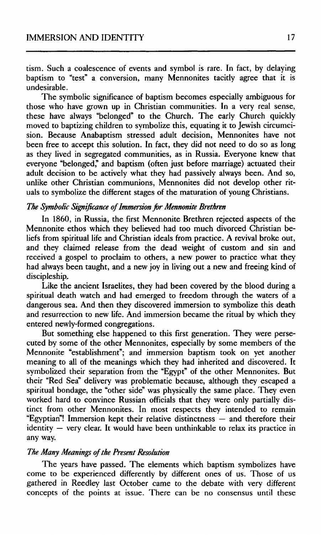tism. Such a coalescence of events and symbol is rare. In fact, by delaying baptism to "test" a conversion, many Mennonites tacitly agree that it is undesirable.

The symbolic significance of baptism becomes especially ambiguous for those who have grown up in Christian communities. In a very real sense, these have always "belonged" to the Church. The early Church quickly moved to baptizing children to symbolize this, equating it to Jewish circumcision. Because Anabaptism stressed adult decision, Mennonites have not been free to accept this solution. In fact, they did not need to do so as long as they lived in segregated communities, as in Russia. Everyone knew that everyone "belonged," and baptism (often just before marriage) actuated their adult decision to be actively what they had passively always been. And so, unlike other Christian communions, Mennonites did not develop other rituals to symbolize the different stages of the maturation of young Christians.

## *The Symbolic Significance of Immersion for Mennonite Brethren*

In 1860, in Russia, the first Mennonite Brethren rejected aspects of the Mennonite ethos which they believed had too much divorced Christian beliefs from spiritual life and Christian ideals from practice. A revival broke out, and they claimed release from the dead weight of custom and sin and received a gospel to proclaim to others, a new power to practice what they had always been taught, and a new joy in living out a new and freeing kind of discipleship,.

Like the ancient Israelites, they had been covered by the blood during a spiritual death watch and had emerged to freedom through the waters of a dangerous sea. And then they discovered immersion to symbolize this death and resurrection to new life. And immersion became the ritual by which they entered newly-formed congregations.

But something else happened to this first generation. They were persecuted by some of the other Mennonites, especially by some members of the Mennonite "establishment"; and immersion baptism took on yet another meaning to all of the meanings which they had inherited and discovered. It symbolized their separation from the "Egypt" of the other Mennonites. But their "Red Sea" delivery was problematic because, although they escaped a spiritual bondage, the "other side" was physically the same place. They even worked hard to convince Russian officials that they were only partially distinct from other Mennonites. In most respects they intended to remain "Egyptian"! Immersion kept their relative distinctness — and therefore their identity — very clear. It would have been unthinkable to relax its practice in any way.

#### *The Many Meanings of the Present Resolution*

The years have passed. The elements which baptism symbolizes have come to be experienced differently by different ones of us. Those of us gathered in Reedley last October came to the debate with very different concepts of the points at issue. There can be no consensus until these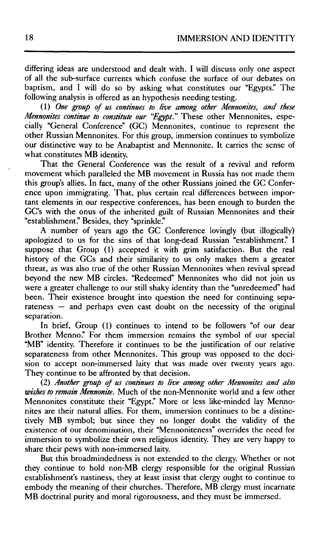differing ideas are understood and dealt with. I will discuss only one aspect of all the sub-surface currents which confuse the surface of our debates on baptism, and I will do so by asking what constitutes our "Egypts." The following analysis is offered as an hypothesis needing testing.

(1) *One group of us continues to live among other Mennonites, and these Mennonites continue to constitute our "Egypt."* These other Mennonites, especially "General Conference" (GC) Mennonites, continue to represent the other Russian Mennonites. For this group, immersion continues to symbolize our distinctive way to be Anabaptist and Mennonite. It carries the sense of what constitutes MB identity.

That the General Conference was the result of a revival and reform movement which paralleled the MB movement in Russia has not made them this group's allies. In fact, many of the other Russians joined the GC Conference upon immigrating. That, plus certain real differences between important elements in our respective conferences, has been enough to burden the GC's with the onus of the inherited guilt of Russian Mennonites and their "establishment." Besides, they "sprinkle."

A number of years ago the GC Conference lovingly (but illogically) apologized to us for the sins of that long-dead Russian "establishment." I suppose that Group (1) accepted it with grim satisfaction. But the real history of the GCs and their similarity to us only makes them a greater threat, as was also true of the other Russian Mennonites when revival spread beyond the new MB circles. "Redeemed" Mennonites who did not join us were a greater challenge to our still shaky identity than the "unredeemed" had been. Their existence brought into question the need for continuing separateness — and perhaps even cast doubt on the necessity of the original separation.

In brief, Group (1) continues to intend to be followers "of our dear Brother Menno." For them immersion remains the symbol of our special "MB" identity. Therefore it continues to be the justification of our relative separateness from other Mennonites. This group was opposed to the decision to accept non-immersed laity that was made over twenty years ago. They continue to be affronted by that decision.

(2) *Another group of us continues to live among other Mennonites and also wishes to remain Mennonite.* Much of the non-Mennonite world and a few other Mennonites constitute their "Egypt." More or less like-minded lay Mennonites are their natural allies. For them, immersion continues to be a distinctively MB symbol; but since they no longer doubt the validity of the existence of our denomination, their "Mennoniteness" overrides the need for immersion to symbolize their own religious identity. They are very happy to share their pews with non-immersed laity.

But this broadmindedness is not extended to the clergy. Whether or not they continue to hold non-MB clergy responsible for the original Russian establishment's nastiness, they at least insist that clergy ought to continue to embody the meaning of their churches. Therefore, MB clergy must incarnate MB doctrinal purity and moral rigorousness, and they must be immersed.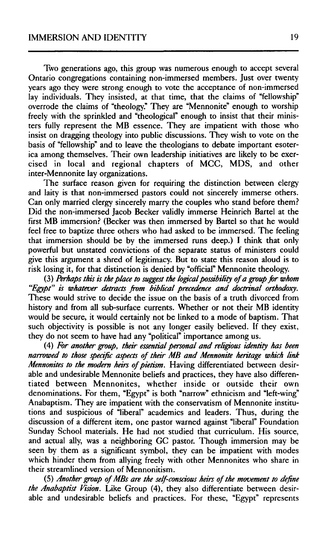Two generations ago, this group was numerous enough to accept several Ontario congregations containing non-immersed members. Just over twenty years ago they were strong enough to vote the acceptance of non-immersed lay individuals. They insisted, at that time, that the claims of "fellowship" overrode the claims of "theology." They are "Mennonite" enough to worship freely with the sprinkled and "theological" enough to insist that their ministers fully represent the MB essence. They are impatient with those who insist on dragging theology into public discussions. They wish to vote on the basis of "fellowship" and to leave the theologians to debate important esoterica among themselves. Their own leadership initiatives are likely to be exercised in local and regional chapters of MCC, MDS, and other inter-Mennonite lay organizations.

The surface reason given for requiring the distinction between clergy and laity is that non-immersed pastors could not sincerely immerse others. Can only married clergy sincerely marry the couples who stand before them? Did the non-immersed Jacob Becker validly immerse Heinrich Bartel at the first MB immersion? (Becker was then immersed by Bartel so that he would feel free to baptize three others who had asked to be immersed. The feeling that immersion should be by the immersed runs deep.) I think that only powerful but unstated convictions of the separate status of ministers could give this argument a shred of legitimacy. But to state this reason aloud is to risk losing it, for that distinction is denied by "official" Mennonite theology.

(3) Perhaps this is the place to suggest the logical possibility of a group for whom *"Egypt" is whatever detracts from biblical precedence and doctrinal orthodoxy.*  These would strive to decide the issue on the basis of a truth divorced from history and from all sub-surface currents. Whether or not their MB identity would be secure, it would certainly not be linked to a mode of baptism. That such objectivity is possible is not any longer easily believed. If they exist, they do not seem to have had any "political" importance among us.

(4) *For another group, their essential personal and religious identity has been narrowed to those specific aspects of their MB and Mennonite hentage which link Mennonites to the modern heirs of pietism.* Having differentiated between desirable and undesirable Mennonite beliefs and practices, they have also differentiated between Mennonites, whether inside or outside their own denominations. For them, "Egypt" is both "narrow" ethnicism and "left-wing" Anabaptism. They are impatient with the conservatism of Mennonite institutions and suspicious of "liberal" academics and leaders. Thus, during the discussion of a different item, one pastor warned against "liberal" Foundation Sunday School materials. He had not studied that curriculum. His source, and actual ally, was a neighboring GC pastor. Though immersion may be seen by them as a significant symbol, they can be impatient with modes which hinder them from allying freely with other Mennonites who share in their streamlined version of Mennonitism.

(5) *Another group of MBs are the self-conscious heirs of the movement to define the Anabaptist Vision.* Like Group (4), they also differentiate between desirable and undesirable beliefs and practices. For these, "Egypt" represents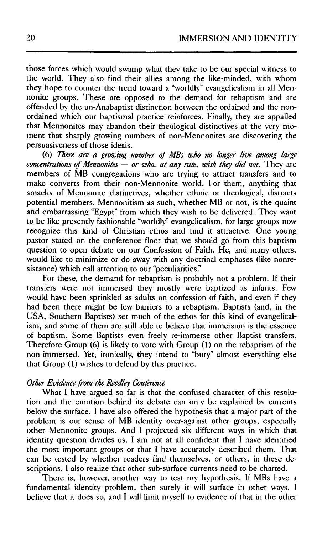those forces which would swamp what they take to be our special witness to the world. They also find their allies among the like-minded, with whom they hope to counter the trend toward a "worldly" evangelicalism in all Mennonite groups. These are opposed to the demand for rebaptism and are offended by the un-Anabaptist distinction between the ordained and the nonordained which our baptismal practice reinforces. Finally, they are appalled that Mennonites may abandon their theological distinctives at the very moment that sharply growing numbers of non-Mennonites are discovering the persuasiveness of those ideals.

(6) *There are a growing number of MBs who no longer live among large concentrations of Mennonites — or who, at any rate, wish they did not.* They are members of MB congregations who are trying to attract transfers and to make converts from their non-Mennonite world. For them, anything that smacks of Mennonite distinctives, whether ethnic or theological, distracts potential members. Mennonitism as such, whether MB or not, is the quaint and embarrassing "Egypt" from which they wish to be delivered. They want to be like presently fashionable "worldly" evangelicalism, for large groups now recognize this kind of Christian ethos and find it attractive. One young pastor stated on the conference floor that we should go from this baptism question to open debate on our Confession of Faith. He, and many others, would like to minimize or do away with any doctrinal emphases (like nonresistance) which call attention to our "peculiarities."

For these, the demand for rebaptism is probably not a problem. If their transfers were not immersed they mostly were baptized as infants. Few would have been sprinkled as adults on confession of faith, and even if they had been there might be few barriers to a rebaptism. Baptists (and, in the USA, Southern Baptists) set much of the ethos for this kind of evangelicalism, and some of them are still able to believe that immersion is the essence of baptism. Some Baptists even freely re-immerse other Baptist transfers. Therefore Group (6) is likely to vote with Group (1) on the rebaptism of the non-immersed. Yet, ironically, they intend to "bury" almost everything else that Group (1) wishes to defend by this practice.

#### *Other Evidence from the Reed ley Conference*

What I have argued so far is that the confused character of this resolution and the emotion behind its debate can only be explained by currents below the surface. I have also offered the hypothesis that a major part of the problem is our sense of MB identity over-against other groups, especially other Mennonite groups. And I projected six different ways in which that identity question divides us. I am not at all confident that I have identified the most important groups or that I have accurately described them. That can be tested by whether readers find themselves, or others, in these descriptions. I also realize that other sub-surface currents need to be charted.

There is, however, another way to test my hypothesis. If MBs have a fundamental identity problem, then surely it will surface in other ways. I believe that it does so, and I will limit myself to evidence of that in the other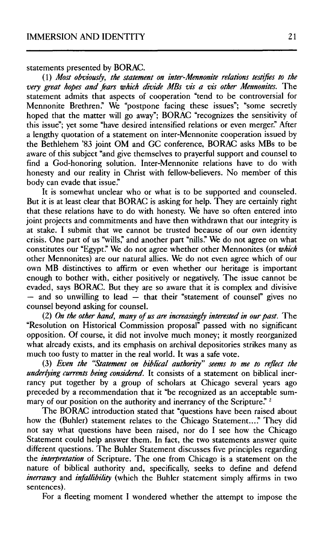statements presented by BORAC.

(1) *Most obviously, the statement on inter-Mennonite relations testifies to the very great hopes and fears which divide MBs vis a vis other Mennonites.* The statement admits that aspects of cooperation "tend to be controversial for Mennonite Brethren." We "postpone facing these issues"; "some secretly hoped that the matter will go away"; BORAC "recognizes the sensitivity of this issue"; yet some "have desired intensified relations or even merger." After a lengthy quotation of a statement on inter-Mennonite cooperation issued by the Bethlehem '83 joint OM and GC conference, BORAC asks MBs to be aware of this subject "and give themselves to prayerful support and counsel to find a God-honoring solution. Inter-Mennonite relations have to do with honesty and our reality in Christ with fellow-believers. No member of this body can evade that issue."

It is somewhat unclear who or what is to be supported and counseled. But it is at least clear that BORAC is asking for help. They are certainly right that these relations have to do with honesty. We have so often entered into joint projects and commitments and have then withdrawn that our integrity is at stake. I submit that we cannot be trusted because of our own identity crisis. One part of us "wills," and another part "nills." We do not agree on what constitutes our "Egypt." We do not agree whether other Mennonites (or *which*  other Mennonites) are our natural allies. We do not even agree which of our own MB distinctives to affirm or even whether our heritage is important enough to bother with, either positively or negatively. The issue cannot be evaded, says BORAC. But they are so aware that it is complex and divisive — and so unwilling to lead — that their "statement of counsel" gives no counsel beyond asking for counsel.

(2) *On the other hand, many of us are increasingly interested in our past.* The "Resolution on Historical Commission proposal" passed with no significant opposition. Of course, it did not involve much money; it mostly reorganized what already exists, and its emphasis on archival depositories strikes many as much too fusty to matter in the real world. It was a safe vote.

(3) *Even the "Statement on biblical authority" seems to me to reflect the underlying currents being considered.* It consists of a statement on biblical inerrancy put together by a group of scholars at Chicago several years ago preceded by a recommendation that it "be recognized as an acceptable summary of our position on the authority and inerrancy of the Scripture."<sup>2</sup>

The BORAC introduction stated that "questions have been raised about how the (Buhler) statement relates to the Chicago Statement...." They did not say what questions have been raised, nor do I see how the Chicago Statement could help answer them. In fact, the two statements answer quite different questions. The Buhler Statement discusses five principles regarding the *interpretation* of Scripture. The one from Chicago is a statement on the nature of biblical authority and, specifically, seeks to define and defend *inerrancy* and *infallibility* (which the Buhler statement simply affirms in two sentences).

For a fleeting moment I wondered whether the attempt to impose the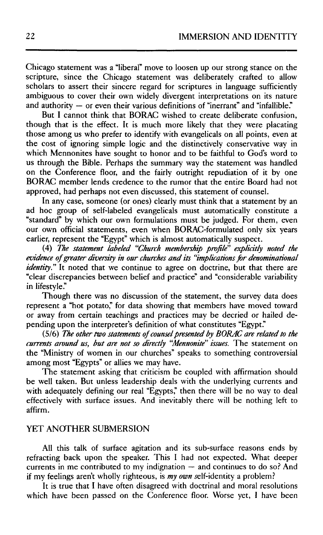Chicago statement was a "liberal" move to loosen up our strong stance on the scripture, since the Chicago statement was deliberately crafted to allow scholars to assert their sincere regard for scriptures in language sufficiently ambiguous to cover their own widely divergent interpretations on its nature and authority — or even their various definitions of "inerrant" and "infallible."

But I cannot think that BORAC wished to create deliberate confusion, though that is the effect. It is much more likely that they were placating those among us who prefer to identify with evangelicals on all points, even at the cost of ignoring simple logic and the distinctively conservative way in which Mennonites have sought to honor and to be faithful to God's word to us through the Bible. Perhaps the summary way the statement was handled on the Conference floor, and the fairly outright repudiation of it by one BORAC member lends credence to the rumor that the entire Board had not approved, had perhaps not even discussed, this statement of counsel.

In any case, someone (or ones) clearly must think that a statement by an ad hoc group of self-labeled evangelicals must automatically constitute a "standard" by which our own formulations must be judged. For them, even our own official statements, even when BORAC-formulated only six years earlier, represent the "Egypt" which is almost automatically suspect.

(4) *The statement labeled "Church membership profile" explicitly noted the evidence of greater diversity in our churches and its "implications for denominational identity.*" It noted that we continue to agree on doctrine, but that there are "clear discrepancies between belief and practice" and "considerable variability in lifestyle."

Though there was no discussion of the statement, the survey data does represent a "hot potato," for data showing that members have moved toward or away from certain teachings and practices may be decried or hailed depending upon the interpreter's definition of what constitutes "Egypt."

(5/6) *The other two statements of counsel presented by BORAC are related to the currents around us, but are not so directly "Mennonite" issues.* The statement on the "Ministry of women in our churches" speaks to something controversial among most "Egypts" or allies we may have.

The statement asking that criticism be coupled with affirmation should be well taken. But unless leadership deals with the underlying currents and with adequately defining our real "Egypts," then there will be no way to deal effectively with surface issues. And inevitably there will be nothing left to affirm.

## YET ANOTHER SUBMERSION

All this talk of surface agitation and its sub-surface reasons ends by refracting back upon the speaker. This I had not expected. What deeper currents in me contributed to my indignation — and continues to do so? And if my feelings aren't wholly righteous, is my own self-identity a problem?

It is true that I have often disagreed with doctrinal and moral resolutions which have been passed on the Conference floor. Worse yet, I have been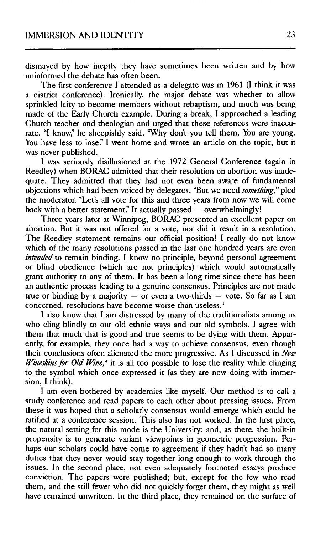dismayed by how ineptly they have sometimes been written and by how uninformed the debate has often been.

The first conference I attended as a delegate was in 1961 (I think it was a district conference). Ironically, the major debate was whether to allow sprinkled laity to become members without rebaptism, and much was being made of the Early Church example. During a break, I approached a leading Church teacher and theologian and urged that these references were inaccurate. "I know," he sheepishly said, "Why don't you tell them. You are young. You have less to lose." I went home and wrote an article on the topic, but it was never published.

I was seriously disillusioned at the 1972 General Conference (again in Reedley) when BORAC admitted that their resolution on abortion was inadequate. They admitted that they had not even been aware of fundamental objections which had been voiced by delegates. "But we need *something," pled*  the moderator. "Let's all vote for this and three years from now we will come back with a better statement." It actually passed — overwhelmingly!

Three years later at Winnipeg, BORAC presented an excellent paper on abortion. But it was not offered for a vote, nor did it result in a resolution. The Reedley statement remains our official position! I really do not know which of the many resolutions passed in the last one hundred years are even *intended* to remain binding. I know no principle, beyond personal agreement or blind obedience (which are not principles) which would automatically grant authority to any of them. It has been a long time since there has been an authentic process leading to a genuine consensus. Principles are not made true or binding by a majority  $-$  or even a two-thirds  $-$  vote. So far as I am concerned, resolutions have become worse than useless.<sup>3</sup>

I also know that I am distressed by many of the traditionalists among us who cling blindly to our old ethnic ways and our old symbols. I agree with them that much that is good and true seems to be dying with them. Apparently, for example, they once had a way to achieve consensus, even though their conclusions often alienated the more progressive. As I discussed in *New Wineskins for Old Wine*,<sup>4</sup> it is all too possible to lose the reality while clinging to the symbol which once expressed it (as they are now doing with immersion, I think).

I am even bothered by academics like myself. Our method is to call a study conference and read papers to each other about pressing issues. From these it was hoped that a scholarly consensus would emerge which could be ratified at a conference session. This also has not worked. In the first place, the natural setting for this mode is the University; and, as there, the built-in propensity is to generate variant viewpoints in geometric progression. Perhaps our scholars could have come to agreement if they hadn't had so many duties that they never would stay together long enough to work through the issues. In the second place, not even adequately footnoted essays produce conviction. The papers were published; but, except for the few who read them, and the still fewer who did not quickly forget them, they might as well have remained unwritten. In the third place, they remained on the surface of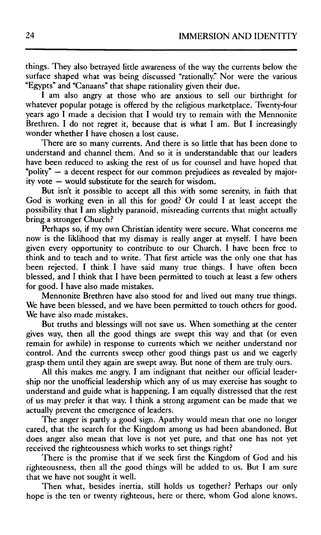things. They also betrayed little awareness of the way the currents below the surface shaped what was being discussed "rationally." Nor were the various "Egypts" and "Canaans" that shape rationality given their due.

I am also angry at those who are anxious to sell our birthright for whatever popular potage is offered by the religious marketplace. Twenty-four years ago I made a decision that I would try to remain with the Mennonite Brethren. I do not regret it, because that is what I am. But I increasingly wonder whether I have chosen a lost cause.

There are so many currents. And there is so little that has been done to understand and channel them. And so it is understandable that our leaders have been reduced to asking the rest of us for counsel and have hoped that "polity" — a decent respect for our common prejudices as revealed by majority vote — would substitute for the search for wisdom.

But isn't it possible to accept all this with some serenity, in faith that God is working even in all this for good? Or could I at least accept the possibility that  $\overline{I}$  am slightly paranoid, misreading currents that might actually bring a stronger Church?

Perhaps so, if my own Christian identity were secure. What concerns me now is the liklihood that my dismay is really anger at myself. I have been given every opportunity to contribute to our Church. I have been free to think and to teach and to write. That first article was the only one that has been rejected. I think I have said many true things. I have often been blessed, and I think that I have been permitted to touch at least a few others for good. I have also made mistakes.

Mennonite Brethren have also stood for and lived out many true things. We have been blessed, and we have been permitted to touch others for good. We have also made mistakes.

But truths and blessings will not save us. When something at the center gives way, then all the good things are swept this way and that (or even remain for awhile) in response to currents which we neither understand nor control. And the currents sweep other good things past us and we eagerly grasp them until they again are swept away. But none of them are truly ours.

All this makes me angry. I am indignant that neither our official leadership nor the unofficial leadership which any of us may exercise has sought to understand and guide what is happening. I am equally distressed that the rest of us may prefer it that way. I think a strong argument can be made that we actually prevent the emergence of leaders.

The anger is partly a good sign. Apathy would mean that one no longer cared, that the search for the Kingdom among us had been abandoned. But does anger also mean that love is not yet pure, and that one has not yet received the righteousness which works to set things right?

There is the promise that if we seek first the Kingdom of God and his righteousness, then all the good things will be added to us. But I am sure that we have not sought it well.

Then what, besides inertia, still holds us together? Perhaps our only hope is the ten or twenty righteous, here or there, whom God alone knows.